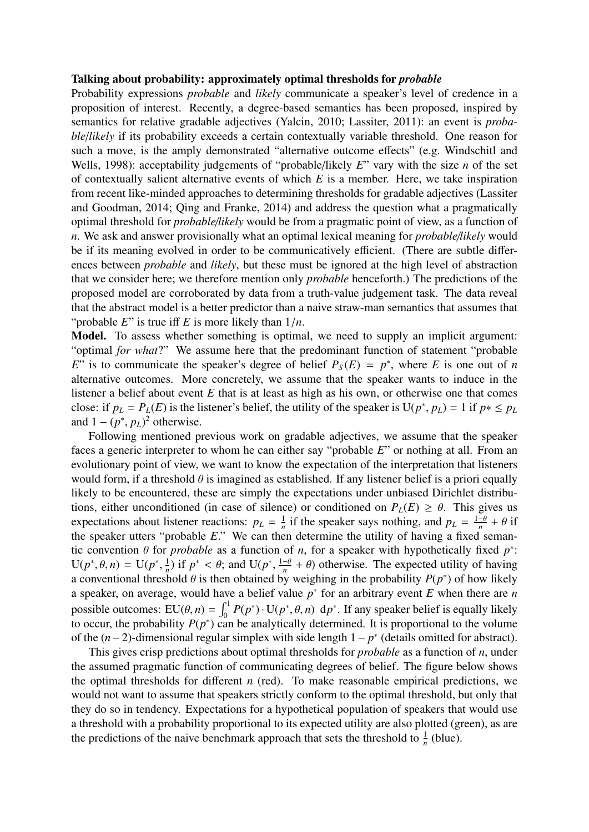## Talking about probability: approximately optimal thresholds for *probable*

Probability expressions *probable* and *likely* communicate a speaker's level of credence in a proposition of interest. Recently, a degree-based semantics has been proposed, inspired by semantics for relative gradable adjectives (Yalcin, 2010; Lassiter, 2011): an event is *probable*/*likely* if its probability exceeds a certain contextually variable threshold. One reason for such a move, is the amply demonstrated "alternative outcome effects" (e.g. Windschitl and Wells, 1998): acceptability judgements of "probable/likely *E*" vary with the size *n* of the set of contextually salient alternative events of which *E* is a member. Here, we take inspiration from recent like-minded approaches to determining thresholds for gradable adjectives (Lassiter and Goodman, 2014; Qing and Franke, 2014) and address the question what a pragmatically optimal threshold for *probable*/*likely* would be from a pragmatic point of view, as a function of *n*. We ask and answer provisionally what an optimal lexical meaning for *probable*/*likely* would be if its meaning evolved in order to be communicatively efficient. (There are subtle differences between *probable* and *likely*, but these must be ignored at the high level of abstraction that we consider here; we therefore mention only *probable* henceforth.) The predictions of the proposed model are corroborated by data from a truth-value judgement task. The data reveal that the abstract model is a better predictor than a naive straw-man semantics that assumes that "probable *<sup>E</sup>*" is true iff *<sup>E</sup>* is more likely than 1/*n*.

Model. To assess whether something is optimal, we need to supply an implicit argument: "optimal *for what*?" We assume here that the predominant function of statement "probable *E*" is to communicate the speaker's degree of belief  $P_S(E) = p^*$ , where *E* is one out of *n* alternative outcomes. More concretely, we assume that the speaker wants to induce in the listener a belief about event *E* that is at least as high as his own, or otherwise one that comes close: if  $p_L = P_L(E)$  is the listener's belief, the utility of the speaker is  $U(p^*, p_L) = 1$  if  $p^* \le p_L$ <br>and  $1 - (p^*, p_L)^2$  otherwise and  $1 - (p^*, p_L)^2$  otherwise.<br>
Following mentioned p

Following mentioned previous work on gradable adjectives, we assume that the speaker faces a generic interpreter to whom he can either say "probable *E*" or nothing at all. From an evolutionary point of view, we want to know the expectation of the interpretation that listeners would form, if a threshold  $\theta$  is imagined as established. If any listener belief is a priori equally likely to be encountered, these are simply the expectations under unbiased Dirichlet distributions, either unconditioned (in case of silence) or conditioned on  $P_L(E) \ge \theta$ . This gives us expectations about listener reactions:  $p_L = \frac{1}{n}$  $\frac{1}{n}$  if the speaker says nothing, and  $p_L = \frac{1-\theta}{n} + \theta$  if the speaker utters "probable *E*." We can then determine the utility of having a fixed semantic convention  $\theta$  for *probable* as a function of *n*, for a speaker with hypothetically fixed  $p^*$ :<br> $U(p^* | \theta, n) = U(p^* | \theta)$  if  $p^* < \theta$ ; and  $U(p^* | \theta + \theta)$  otherwise. The expected utility of having  $U(p^*, \theta, n) = U(p^*)$ <br>a conventional three , 1  $\frac{1}{n}$ ) if  $p^* < \theta$ ; and U( $p^*$ )<br>hold  $\theta$  is then obtained  $\frac{1}{1}$  $\frac{1-\theta}{n} + \theta$ ) otherwise. The expected utility of having<br>by weighing in the probability  $P(n^*)$  of how likely a conventional threshold  $\theta$  is then obtained by weighing in the probability  $P(p^*)$  of how likely a speaker, on average, would have a belief value  $p^*$  for an arbitrary event *E* when there are *n* possible outcomes:  $EU(\theta, n) = \int_0^1 P(p^*) \cdot U(p^*, \theta, n) dp^*$ . If any speaker belief is equally likely to occur, the probability  $P(p^*)$  can be analytically determined. It is proportional to the volume of the  $(n-2)$ -dimensional regular simplex with side length  $1-p^*$  (details omitted for abstract).

This gives crisp predictions about optimal thresholds for *probable* as a function of *n*, under the assumed pragmatic function of communicating degrees of belief. The figure below shows the optimal thresholds for different *n* (red). To make reasonable empirical predictions, we would not want to assume that speakers strictly conform to the optimal threshold, but only that they do so in tendency. Expectations for a hypothetical population of speakers that would use a threshold with a probability proportional to its expected utility are also plotted (green), as are the predictions of the naive benchmark approach that sets the threshold to  $\frac{1}{n}$  (blue).